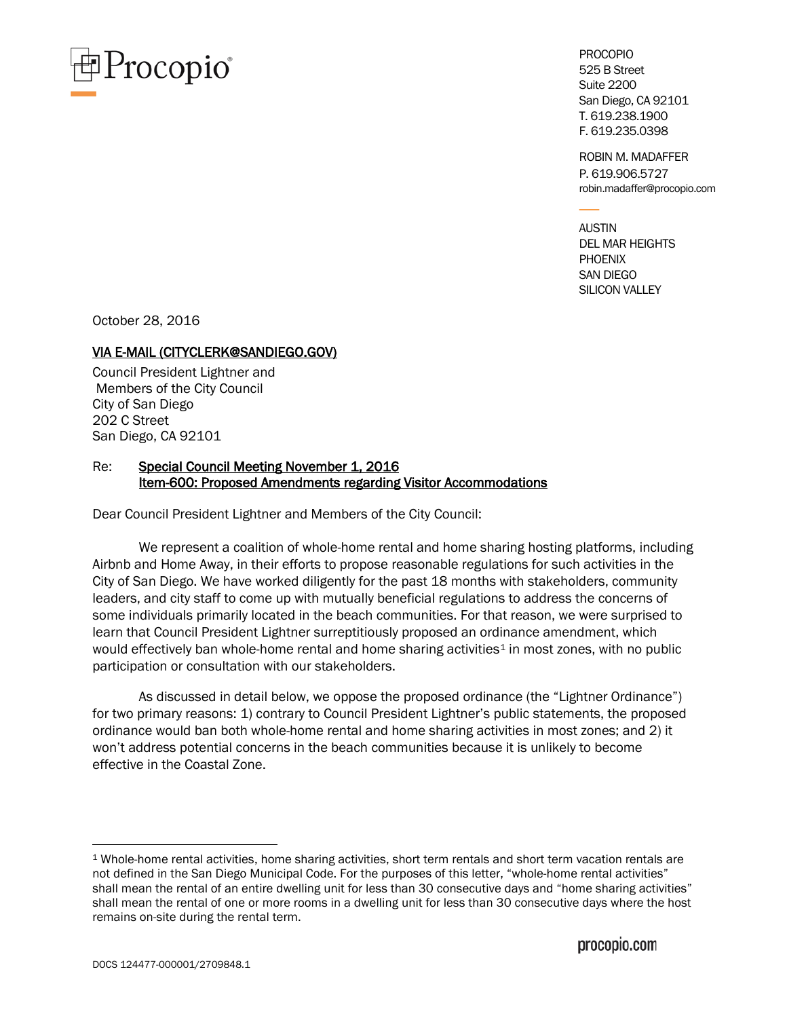

PROCOPIO 525 B Street Suite 2200 San Diego, CA 92101 T. 619.238.1900 F. 619.235.0398

ROBIN M. MADAFFER P. 619.906.5727 robin.madaffer@procopio.com

AUSTIN DEL MAR HEIGHTS **PHOENIX** SAN DIEGO SILICON VALLEY

October 28, 2016

## VIA E-MAIL (CITYCLERK@SANDIEGO.GOV)

Council President Lightner and Members of the City Council City of San Diego 202 C Street San Diego, CA 92101

# Re: Special Council Meeting November 1, 2016 Item-600: Proposed Amendments regarding Visitor Accommodations

Dear Council President Lightner and Members of the City Council:

We represent a coalition of whole-home rental and home sharing hosting platforms, including Airbnb and Home Away, in their efforts to propose reasonable regulations for such activities in the City of San Diego. We have worked diligently for the past 18 months with stakeholders, community leaders, and city staff to come up with mutually beneficial regulations to address the concerns of some individuals primarily located in the beach communities. For that reason, we were surprised to learn that Council President Lightner surreptitiously proposed an ordinance amendment, which would effectively ban whole-home rental and home sharing activities<sup>[1](#page-0-0)</sup> in most zones, with no public participation or consultation with our stakeholders.

As discussed in detail below, we oppose the proposed ordinance (the "Lightner Ordinance") for two primary reasons: 1) contrary to Council President Lightner's public statements, the proposed ordinance would ban both whole-home rental and home sharing activities in most zones; and 2) it won't address potential concerns in the beach communities because it is unlikely to become effective in the Coastal Zone.

<span id="page-0-0"></span> <sup>1</sup> Whole-home rental activities, home sharing activities, short term rentals and short term vacation rentals are not defined in the San Diego Municipal Code. For the purposes of this letter, "whole-home rental activities" shall mean the rental of an entire dwelling unit for less than 30 consecutive days and "home sharing activities" shall mean the rental of one or more rooms in a dwelling unit for less than 30 consecutive days where the host remains on-site during the rental term.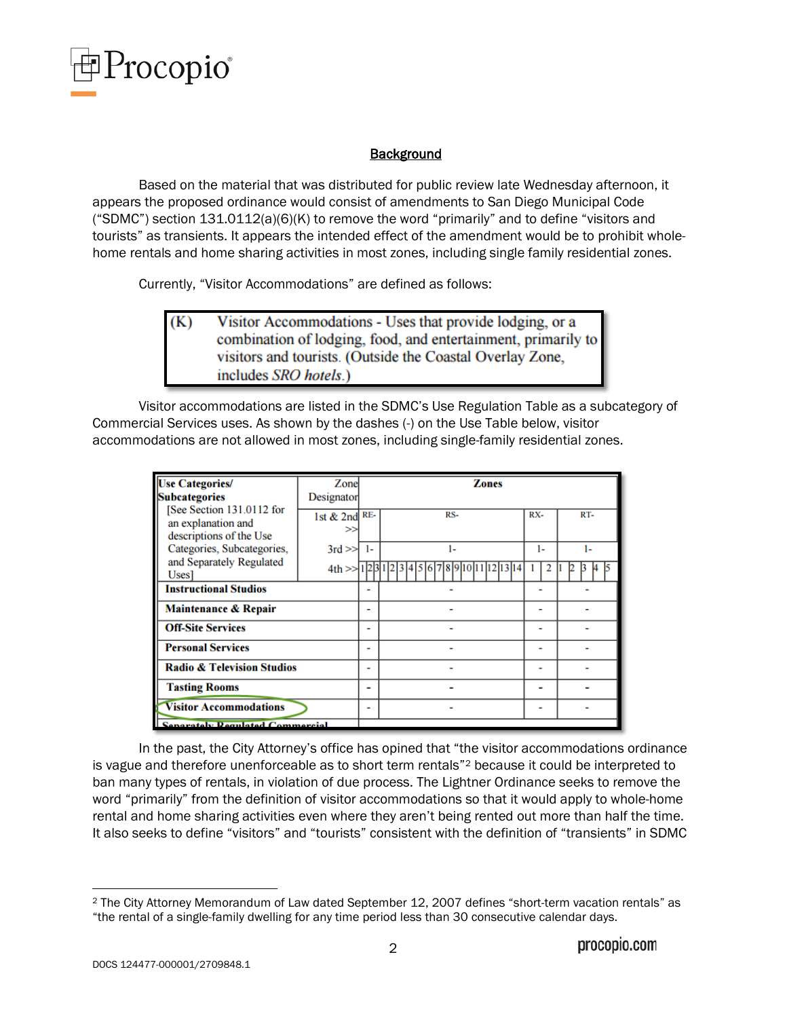

# **Background**

Based on the material that was distributed for public review late Wednesday afternoon, it appears the proposed ordinance would consist of amendments to San Diego Municipal Code ("SDMC") section 131.0112(a)(6)(K) to remove the word "primarily" and to define "visitors and tourists" as transients. It appears the intended effect of the amendment would be to prohibit wholehome rentals and home sharing activities in most zones, including single family residential zones.

Currently, "Visitor Accommodations" are defined as follows:

Visitor Accommodations - Uses that provide lodging, or a (K) combination of lodging, food, and entertainment, primarily to visitors and tourists. (Outside the Coastal Overlay Zone, includes SRO hotels.)

Visitor accommodations are listed in the SDMC's Use Regulation Table as a subcategory of Commercial Services uses. As shown by the dashes (-) on the Use Table below, visitor accommodations are not allowed in most zones, including single-family residential zones.

| <b>Use Categories/</b>                                                                                                                        | Zone               |    | Zones |     |     |
|-----------------------------------------------------------------------------------------------------------------------------------------------|--------------------|----|-------|-----|-----|
| <b>Subcategories</b>                                                                                                                          | Designator         |    |       |     |     |
| [See Section 131.0112 for<br>an explanation and<br>descriptions of the Use<br>Categories, Subcategories,<br>and Separately Regulated<br>Uses] | 1st & 2nd RE-<br>> |    | RS-   | RX- | RT- |
|                                                                                                                                               |                    |    |       |     |     |
|                                                                                                                                               | $3rd \gg$          | 1- | ı.    | ı.  | ı.  |
|                                                                                                                                               | 4th > > 12         |    |       |     |     |
| <b>Instructional Studios</b>                                                                                                                  |                    |    |       |     |     |
| Maintenance & Repair                                                                                                                          |                    | -  |       |     |     |
| <b>Off-Site Services</b>                                                                                                                      |                    | -  |       | -   |     |
| <b>Personal Services</b>                                                                                                                      |                    | -  |       |     |     |
| <b>Radio &amp; Television Studios</b>                                                                                                         |                    | ۰  |       |     |     |
| <b>Tasting Rooms</b>                                                                                                                          |                    | -  |       |     |     |
| <b>Visitor Accommodations</b>                                                                                                                 |                    | -  |       |     |     |
| <b>Senarately Regulated Commercial</b>                                                                                                        |                    |    |       |     |     |

In the past, the City Attorney's office has opined that "the visitor accommodations ordinance is vague and therefore unenforceable as to short term rentals"[2](#page-1-0) because it could be interpreted to ban many types of rentals, in violation of due process. The Lightner Ordinance seeks to remove the word "primarily" from the definition of visitor accommodations so that it would apply to whole-home rental and home sharing activities even where they aren't being rented out more than half the time. It also seeks to define "visitors" and "tourists" consistent with the definition of "transients" in SDMC

<span id="page-1-0"></span> <sup>2</sup> The City Attorney Memorandum of Law dated September 12, 2007 defines "short-term vacation rentals" as "the rental of a single-family dwelling for any time period less than 30 consecutive calendar days.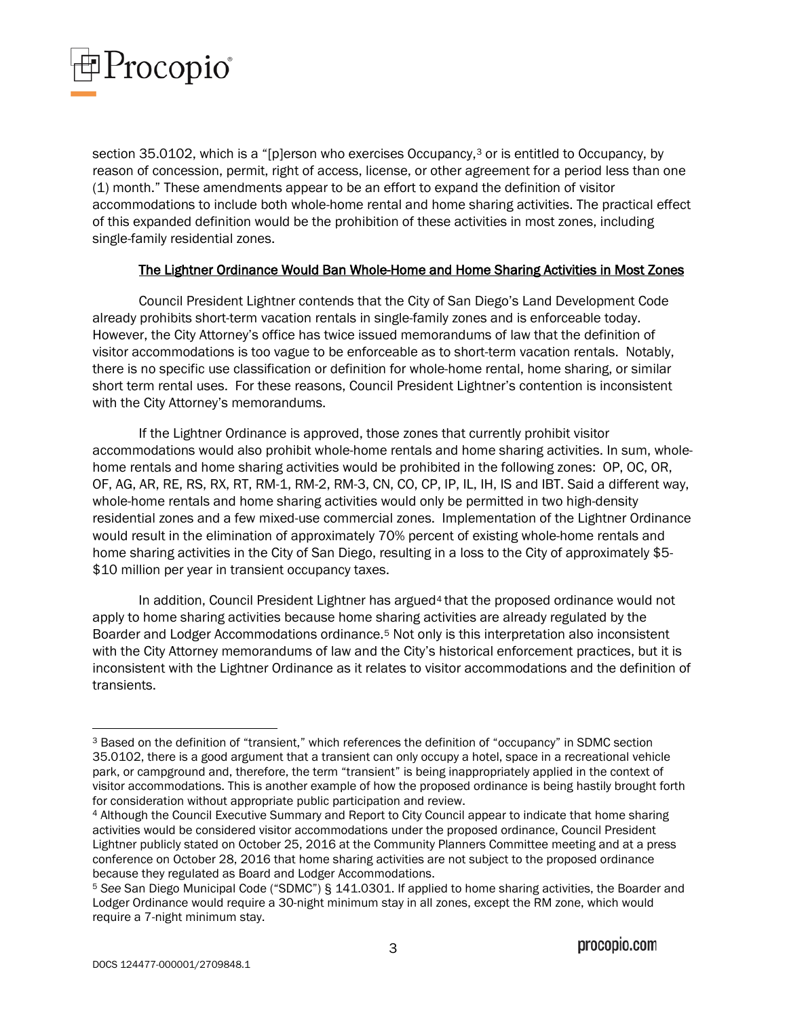

section [3](#page-2-0)5.0102, which is a "[p]erson who exercises Occupancy,<sup>3</sup> or is entitled to Occupancy, by reason of concession, permit, right of access, license, or other agreement for a period less than one (1) month." These amendments appear to be an effort to expand the definition of visitor accommodations to include both whole-home rental and home sharing activities. The practical effect of this expanded definition would be the prohibition of these activities in most zones, including single-family residential zones.

## The Lightner Ordinance Would Ban Whole-Home and Home Sharing Activities in Most Zones

Council President Lightner contends that the City of San Diego's Land Development Code already prohibits short-term vacation rentals in single-family zones and is enforceable today. However, the City Attorney's office has twice issued memorandums of law that the definition of visitor accommodations is too vague to be enforceable as to short-term vacation rentals. Notably, there is no specific use classification or definition for whole-home rental, home sharing, or similar short term rental uses. For these reasons, Council President Lightner's contention is inconsistent with the City Attorney's memorandums.

If the Lightner Ordinance is approved, those zones that currently prohibit visitor accommodations would also prohibit whole-home rentals and home sharing activities. In sum, wholehome rentals and home sharing activities would be prohibited in the following zones: OP, OC, OR, OF, AG, AR, RE, RS, RX, RT, RM-1, RM-2, RM-3, CN, CO, CP, IP, IL, IH, IS and IBT. Said a different way, whole-home rentals and home sharing activities would only be permitted in two high-density residential zones and a few mixed-use commercial zones. Implementation of the Lightner Ordinance would result in the elimination of approximately 70% percent of existing whole-home rentals and home sharing activities in the City of San Diego, resulting in a loss to the City of approximately \$5-\$10 million per year in transient occupancy taxes.

In addition, Council President Lightner has argued<sup>[4](#page-2-1)</sup> that the proposed ordinance would not apply to home sharing activities because home sharing activities are already regulated by the Boarder and Lodger Accommodations ordinance.[5](#page-2-2) Not only is this interpretation also inconsistent with the City Attorney memorandums of law and the City's historical enforcement practices, but it is inconsistent with the Lightner Ordinance as it relates to visitor accommodations and the definition of transients.

<span id="page-2-0"></span> <sup>3</sup> Based on the definition of "transient," which references the definition of "occupancy" in SDMC section 35.0102, there is a good argument that a transient can only occupy a hotel, space in a recreational vehicle park, or campground and, therefore, the term "transient" is being inappropriately applied in the context of visitor accommodations. This is another example of how the proposed ordinance is being hastily brought forth for consideration without appropriate public participation and review.

<span id="page-2-1"></span><sup>4</sup> Although the Council Executive Summary and Report to City Council appear to indicate that home sharing activities would be considered visitor accommodations under the proposed ordinance, Council President Lightner publicly stated on October 25, 2016 at the Community Planners Committee meeting and at a press conference on October 28, 2016 that home sharing activities are not subject to the proposed ordinance because they regulated as Board and Lodger Accommodations.

<span id="page-2-2"></span><sup>5</sup> *See* San Diego Municipal Code ("SDMC") § 141.0301. If applied to home sharing activities, the Boarder and Lodger Ordinance would require a 30-night minimum stay in all zones, except the RM zone, which would require a 7-night minimum stay.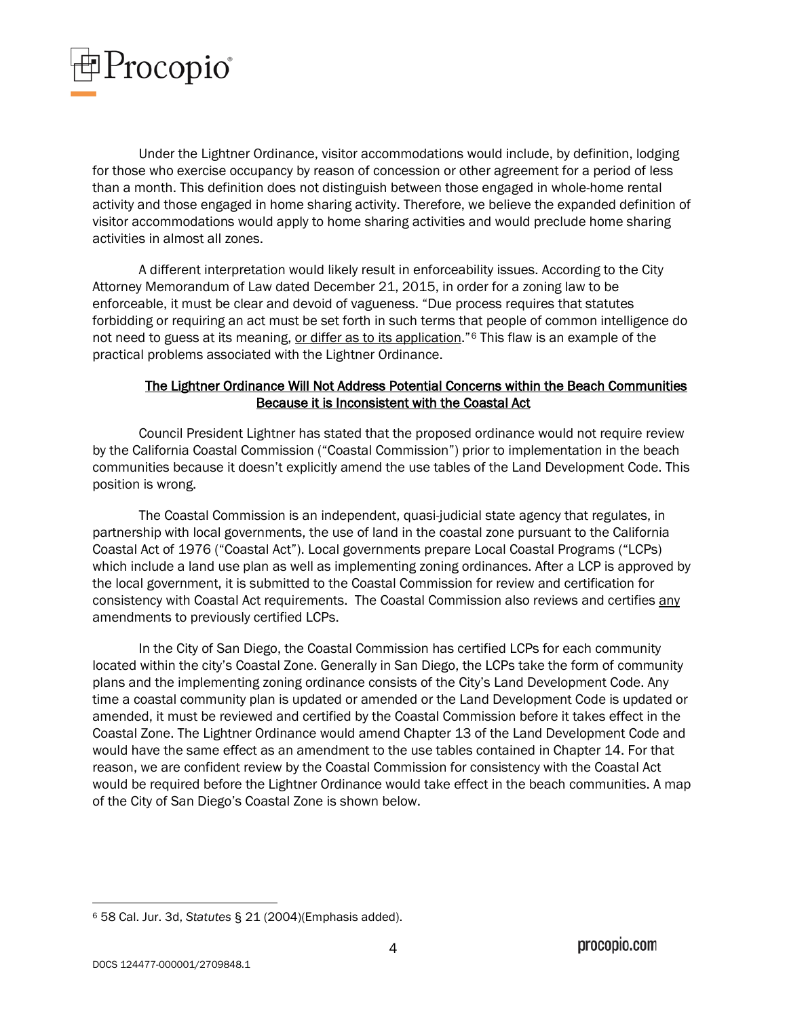

Under the Lightner Ordinance, visitor accommodations would include, by definition, lodging for those who exercise occupancy by reason of concession or other agreement for a period of less than a month. This definition does not distinguish between those engaged in whole-home rental activity and those engaged in home sharing activity. Therefore, we believe the expanded definition of visitor accommodations would apply to home sharing activities and would preclude home sharing activities in almost all zones.

A different interpretation would likely result in enforceability issues. According to the City Attorney Memorandum of Law dated December 21, 2015, in order for a zoning law to be enforceable, it must be clear and devoid of vagueness. "Due process requires that statutes forbidding or requiring an act must be set forth in such terms that people of common intelligence do not need to guess at its meaning, or differ as to its application."<sup>[6](#page-3-0)</sup> This flaw is an example of the practical problems associated with the Lightner Ordinance.

# The Lightner Ordinance Will Not Address Potential Concerns within the Beach Communities Because it is Inconsistent with the Coastal Act

Council President Lightner has stated that the proposed ordinance would not require review by the California Coastal Commission ("Coastal Commission") prior to implementation in the beach communities because it doesn't explicitly amend the use tables of the Land Development Code. This position is wrong.

The Coastal Commission is an independent, quasi-judicial state agency that regulates, in partnership with local governments, the use of land in the coastal zone pursuant to the California Coastal Act of 1976 ("Coastal Act"). Local governments prepare Local Coastal Programs ("LCPs) which include a land use plan as well as implementing zoning ordinances. After a LCP is approved by the local government, it is submitted to the Coastal Commission for review and certification for consistency with Coastal Act requirements. The Coastal Commission also reviews and certifies any amendments to previously certified LCPs.

In the City of San Diego, the Coastal Commission has certified LCPs for each community located within the city's Coastal Zone. Generally in San Diego, the LCPs take the form of community plans and the implementing zoning ordinance consists of the City's Land Development Code. Any time a coastal community plan is updated or amended or the Land Development Code is updated or amended, it must be reviewed and certified by the Coastal Commission before it takes effect in the Coastal Zone. The Lightner Ordinance would amend Chapter 13 of the Land Development Code and would have the same effect as an amendment to the use tables contained in Chapter 14. For that reason, we are confident review by the Coastal Commission for consistency with the Coastal Act would be required before the Lightner Ordinance would take effect in the beach communities. A map of the City of San Diego's Coastal Zone is shown below.

<span id="page-3-0"></span> <sup>6</sup> 58 Cal. Jur. 3d, *Statutes* § 21 (2004)(Emphasis added).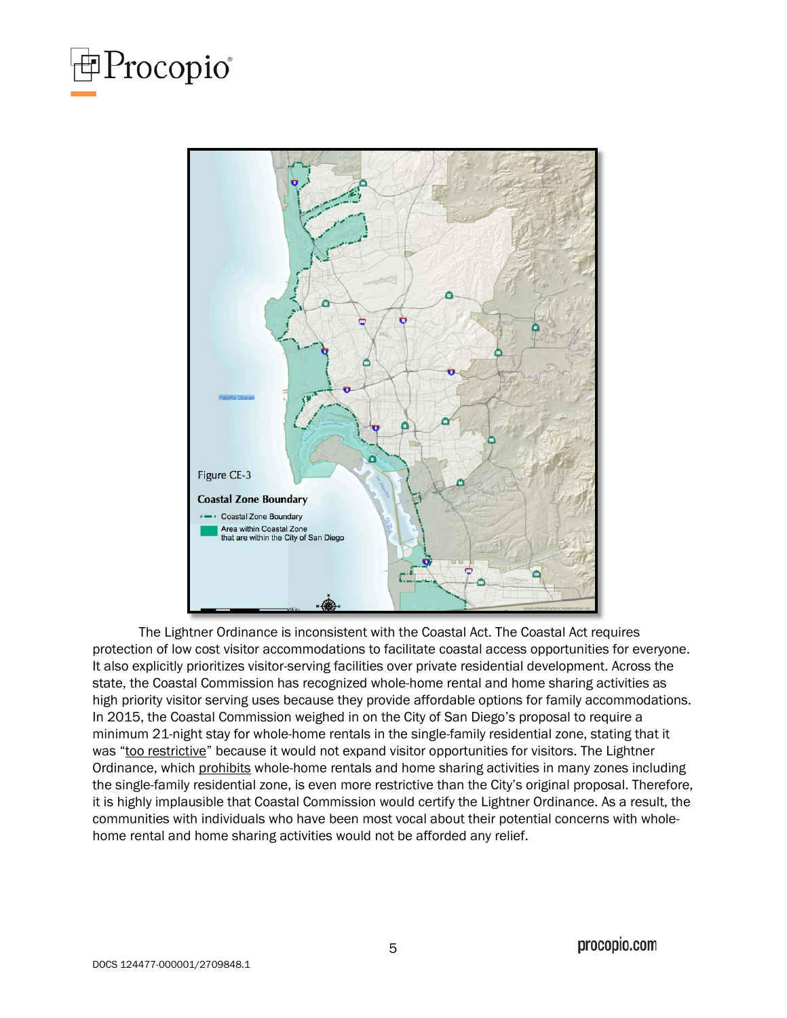



The Lightner Ordinance is inconsistent with the Coastal Act. The Coastal Act requires protection of low cost visitor accommodations to facilitate coastal access opportunities for everyone. It also explicitly prioritizes visitor-serving facilities over private residential development. Across the state, the Coastal Commission has recognized whole-home rental and home sharing activities as high priority visitor serving uses because they provide affordable options for family accommodations. In 2015, the Coastal Commission weighed in on the City of San Diego's proposal to require a minimum 21-night stay for whole-home rentals in the single-family residential zone, stating that it was "too restrictive" because it would not expand visitor opportunities for visitors. The Lightner Ordinance, which prohibits whole-home rentals and home sharing activities in many zones including the single-family residential zone, is even more restrictive than the City's original proposal. Therefore, it is highly implausible that Coastal Commission would certify the Lightner Ordinance. As a result, the communities with individuals who have been most vocal about their potential concerns with wholehome rental and home sharing activities would not be afforded any relief.